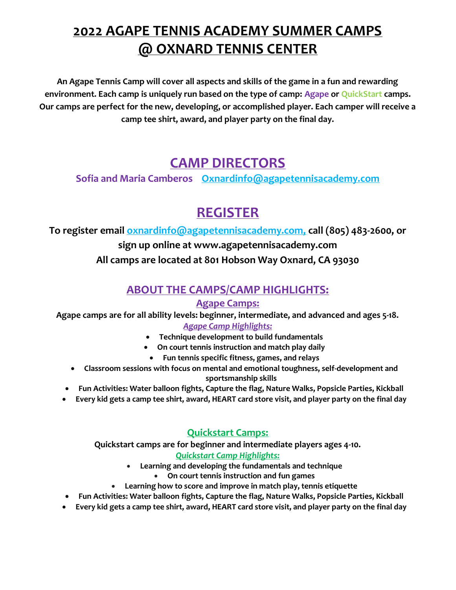## 2022 AGAPE TENNIS ACADEMY SUMMER CAMPS @ OXNARD TENNIS CENTER

An Agape Tennis Camp will cover all aspects and skills of the game in a fun and rewarding environment. Each camp is uniquely run based on the type of camp: Agape or QuickStart camps. Our camps are perfect for the new, developing, or accomplished player. Each camper will receive a camp tee shirt, award, and player party on the final day.

### CAMP DIRECTORS

Sofia and Maria Camberos Oxnardinfo@agapetennisacademy.com

# REGISTER

To register email oxnardinfo@agapetennisacademy.com, call (805) 483-2600, or

#### sign up online at www.agapetennisacademy.com All camps are located at 801 Hobson Way Oxnard, CA 93030

### ABOUT THE CAMPS/CAMP HIGHLIGHTS:

#### Agape Camps:

Agape camps are for all ability levels: beginner, intermediate, and advanced and ages 5-18. Agape Camp Highlights:

- Technique development to build fundamentals
- On court tennis instruction and match play daily
	- Fun tennis specific fitness, games, and relays
- Classroom sessions with focus on mental and emotional toughness, self-development and sportsmanship skills
- Fun Activities: Water balloon fights, Capture the flag, Nature Walks, Popsicle Parties, Kickball
- Every kid gets a camp tee shirt, award, HEART card store visit, and player party on the final day

#### Quickstart Camps:

Quickstart camps are for beginner and intermediate players ages 4-10. Quickstart Camp Highlights:

- Learning and developing the fundamentals and technique
	- On court tennis instruction and fun games
- Learning how to score and improve in match play, tennis etiquette
- Fun Activities: Water balloon fights, Capture the flag, Nature Walks, Popsicle Parties, Kickball
- Every kid gets a camp tee shirt, award, HEART card store visit, and player party on the final day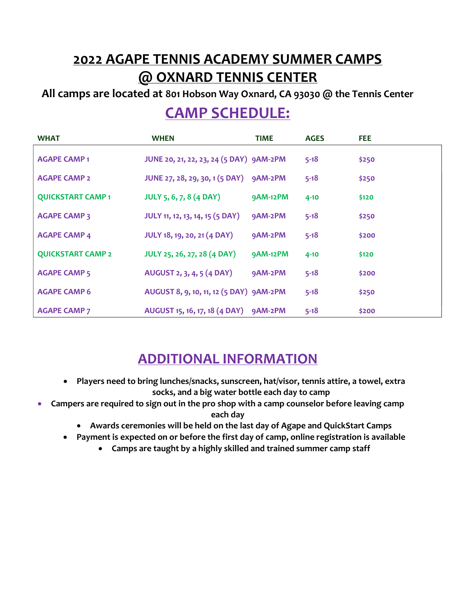## 2022 AGAPE TENNIS ACADEMY SUMMER CAMPS @ OXNARD TENNIS CENTER

All camps are located at 801 Hobson Way Oxnard, CA 93030 @ the Tennis Center

## CAMP SCHEDULE:

| <b>WHAT</b>              | <b>WHEN</b>                             | TIME            | <b>AGES</b> | FEE.  |
|--------------------------|-----------------------------------------|-----------------|-------------|-------|
| <b>AGAPE CAMP1</b>       | JUNE 20, 21, 22, 23, 24 (5 DAY) 9AM-2PM |                 | $5 - 18$    | \$250 |
| <b>AGAPE CAMP 2</b>      | JUNE 27, 28, 29, 30, 1 (5 DAY) 9AM-2PM  |                 | $5 - 18$    | \$250 |
| <b>QUICKSTART CAMP1</b>  | <b>JULY 5, 6, 7, 8 (4 DAY)</b>          | <b>9AM-12PM</b> | $4 - 10$    | \$120 |
| <b>AGAPE CAMP 3</b>      | <b>JULY 11, 12, 13, 14, 15 (5 DAY)</b>  | 9AM-2PM         | $5 - 18$    | \$250 |
| <b>AGAPE CAMP 4</b>      | <b>JULY 18, 19, 20, 21 (4 DAY)</b>      | 9AM-2PM         | $5 - 18$    | \$200 |
| <b>QUICKSTART CAMP 2</b> | <b>JULY 25, 26, 27, 28 (4 DAY)</b>      | <b>9AM-12PM</b> | $4 - 10$    | \$120 |
| <b>AGAPE CAMP 5</b>      | AUGUST 2, 3, 4, 5 (4 DAY)               | 9AM-2PM         | $5 - 18$    | \$200 |
| <b>AGAPE CAMP 6</b>      | AUGUST 8, 9, 10, 11, 12 (5 DAY) 9AM-2PM |                 | $5 - 18$    | \$250 |
| <b>AGAPE CAMP 7</b>      | AUGUST 15, 16, 17, 18 (4 DAY) 9AM-2PM   |                 | $5 - 18$    | \$200 |

### ADDITIONAL INFORMATION

- Players need to bring lunches/snacks, sunscreen, hat/visor, tennis attire, a towel, extra socks, and a big water bottle each day to camp
- Campers are required to sign out in the pro shop with a camp counselor before leaving camp each day
	- Awards ceremonies will be held on the last day of Agape and QuickStart Camps
	- Payment is expected on or before the first day of camp, online registration is available
		- Camps are taught by a highly skilled and trained summer camp staff